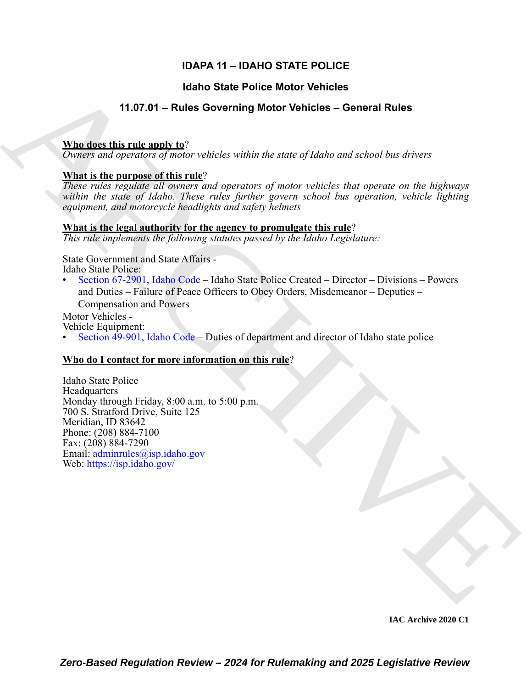# **IDAPA 11 – IDAHO STATE POLICE**

# **Idaho State Police Motor Vehicles**

# **11.07.01 – Rules Governing Motor Vehicles – General Rules**

### **Who does this rule apply to**?

*Owners and operators of motor vehicles within the state of Idaho and school bus drivers*

# **What is the purpose of this rule**?

*These rules regulate all owners and operators of motor vehicles that operate on the highways within the state of Idaho. These rules further govern school bus operation, vehicle lighting equipment, and motorcycle headlights and safety helmets*

# **What is the legal authority for the agency to promulgate this rule**?

*This rule implements the following statutes passed by the Idaho Legislature:*

State Government and State Affairs - Idaho State Police:

• Section 67-2901, Idaho Code – Idaho State Police Created – Director – Divisions – Powers and Duties – Failure of Peace Officers to Obey Orders, Misdemeanor – Deputies – Compensation and Powers

Motor Vehicles -

Vehicle Equipment:

• Section 49-901, Idaho Code – Duties of department and director of Idaho state police

# **Who do I contact for more information on this rule**?

**Hanno State Police Motor Vehicles**<br> **11.07.01 - Rules Governing Motor Vehicles - General Rules**<br> **Nhale-the-minimum of omior vehicles which decade of kiden and whoat has device**  $\overrightarrow{R}$ **<br>
<b>Dominic and operators** ( $\overrightarrow{R}$ Idaho State Police **Headquarters** Monday through Friday, 8:00 a.m. to 5:00 p.m. 700 S. Stratford Drive, Suite 125 Meridian, ID 83642 Phone: (208) 884-7100 Fax: (208) 884-7290 Email: adminrules@isp.idaho.gov Web: https://isp.idaho.gov/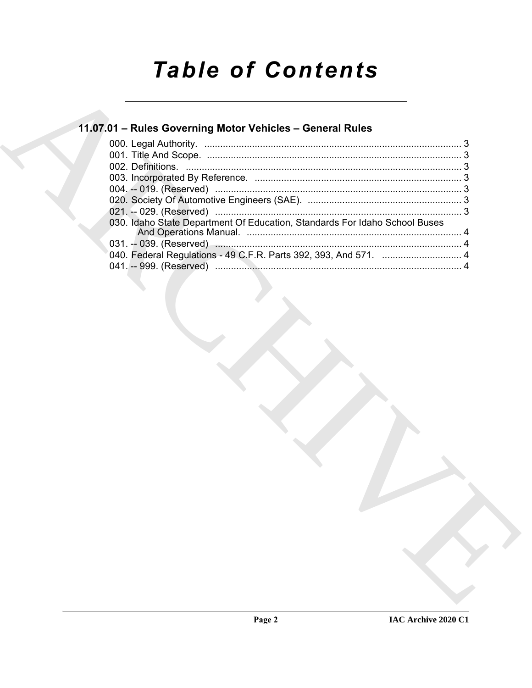# **Table of Contents**

# 11.07.01 - Rules Governing Motor Vehicles - General Rules

| 030. Idaho State Department Of Education, Standards For Idaho School Buses |  |
|----------------------------------------------------------------------------|--|
|                                                                            |  |
|                                                                            |  |
|                                                                            |  |
|                                                                            |  |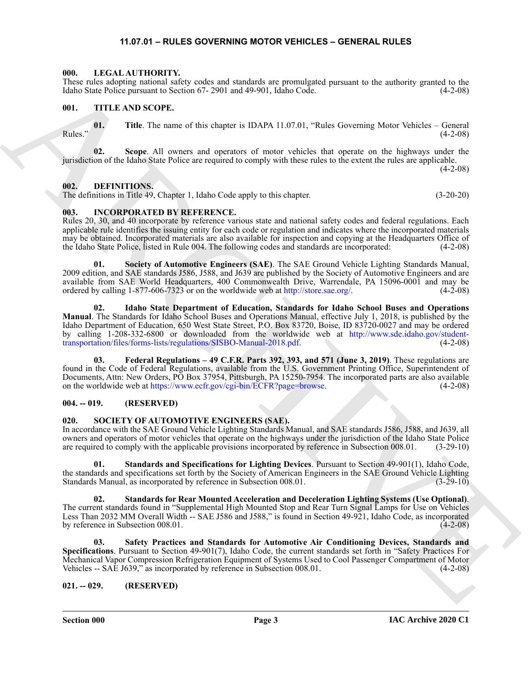#### **11.07.01 – RULES GOVERNING MOTOR VEHICLES – GENERAL RULES**

#### <span id="page-2-10"></span><span id="page-2-1"></span><span id="page-2-0"></span>**000. LEGAL AUTHORITY.**

These rules adopting national safety codes and standards are promulgated pursuant to the authority granted to the Idaho State Police pursuant to Section 67- 2901 and 49-901, Idaho Code. (4-2-08)

#### <span id="page-2-15"></span><span id="page-2-2"></span>**001. TITLE AND SCOPE.**

**01.** Title. The name of this chapter is IDAPA 11.07.01, "Rules Governing Motor Vehicles – General (4-2-08) Rules." (4-2-08)

**02. Scope**. All owners and operators of motor vehicles that operate on the highways under the jurisdiction of the Idaho State Police are required to comply with these rules to the extent the rules are applicable.

#### <span id="page-2-8"></span><span id="page-2-3"></span>**002. DEFINITIONS.**

The definitions in Title 49, Chapter 1, Idaho Code apply to this chapter. (3-20-20)

#### <span id="page-2-9"></span><span id="page-2-4"></span>**003. INCORPORATED BY REFERENCE.**

Rules 20, 30, and 40 incorporate by reference various state and national safety codes and federal regulations. Each applicable rule identifies the issuing entity for each code or regulation and indicates where the incorporated materials may be obtained. Incorporated materials are also available for inspection and copying at the Headquarters Office of the Idaho State Police, listed in Rule 004. The following codes and standards are incorporated: (4-2-08)

**01. Society of Automotive Engineers (SAE)**. The SAE Ground Vehicle Lighting Standards Manual, 2009 edition, and SAE standards J586, J588, and J639 are published by the Society of Automotive Engineers and are available from SAE World Headquarters, 400 Commonwealth Drive, Warrendale, PA 15096-0001 and may be ordered by calling 1-877-606-7323 or on the worldwide web at http://store.sae.org/.  $(4-2-08)$ ordered by calling 1-877-606-7323 or on the worldwide web at http://store.sae.org/.

These relations and the set of the set of the set of the set of the set of the set of the set of the set of the set of the set of the set of the set of the set of the set of the set of the set of the set of the set of the **02. Idaho State Department of Education, Standards for Idaho School Buses and Operations Manual**. The Standards for Idaho School Buses and Operations Manual, effective July 1, 2018, is published by the Idaho Department of Education, 650 West State Street, P.O. Box 83720, Boise, ID 83720-0027 and may be ordered by calling 1-208-332-6800 or downloaded from the worldwide web at http://www.sde.idaho.gov/studenttransportation/files/forms-lists/regulations/SISBO-Manual-2018.pdf. (4-2-08)

**03. Federal Regulations – 49 C.F.R. Parts 392, 393, and 571 (June 3, 2019)**. These regulations are found in the Code of Federal Regulations, available from the U.S. Government Printing Office, Superintendent of Documents, Attn: New Orders, PO Box 37954, Pittsburgh, PA 15250-7954. The incorporated parts are also available on the worldwide web at https://www.ecfr.gov/cgi-bin/ECFR?page=browse. (4-2-08) on the worldwide web at https://www.ecfr.gov/cgi-bin/ECFR?page=browse.

#### <span id="page-2-5"></span>**004. -- 019. (RESERVED)**

#### <span id="page-2-11"></span><span id="page-2-6"></span>**020. SOCIETY OF AUTOMOTIVE ENGINEERS (SAE).**

In accordance with the SAE Ground Vehicle Lighting Standards Manual, and SAE standards J586, J588, and J639, all owners and operators of motor vehicles that operate on the highways under the jurisdiction of the Idaho State Police are required to comply with the applicable provisions incorporated by reference in Subsection 008.01. (3-29-10)

<span id="page-2-13"></span>**01. Standards and Specifications for Lighting Devices**. Pursuant to Section 49-901(1), Idaho Code, the standards and specifications set forth by the Society of American Engineers in the SAE Ground Vehicle Lighting Standards Manual, as incorporated by reference in Subsection 008.01. (3-29-10) (3-29-10)

<span id="page-2-14"></span>**02. Standards for Rear Mounted Acceleration and Deceleration Lighting Systems (Use Optional)**. The current standards found in "Supplemental High Mounted Stop and Rear Turn Signal Lamps for Use on Vehicles Less Than 2032 MM Overall Width -- SAE J586 and J588," is found in Section 49-921, Idaho Code, as incorporated by reference in Subsection 008.01. (4-2-08)

<span id="page-2-12"></span>**03. Safety Practices and Standards for Automotive Air Conditioning Devices, Standards and Specifications**. Pursuant to Section 49-901(7), Idaho Code, the current standards set forth in "Safety Practices For Mechanical Vapor Compression Refrigeration Equipment of Systems Used to Cool Passenger Compartment of Motor Vehicles -- SAE J639," as incorporated by reference in Subsection 008.01. (4-2-08)

#### <span id="page-2-7"></span>**021. -- 029. (RESERVED)**

**Section 000 Page 3**

 $(4-2-08)$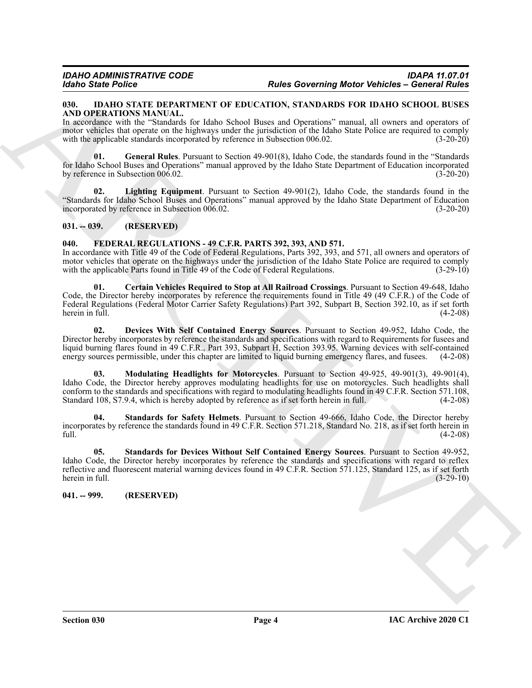#### <span id="page-3-0"></span>**030. IDAHO STATE DEPARTMENT OF EDUCATION, STANDARDS FOR IDAHO SCHOOL BUSES AND OPERATIONS MANUAL.**

In accordance with the "Standards for Idaho School Buses and Operations" manual, all owners and operators of motor vehicles that operate on the highways under the jurisdiction of the Idaho State Police are required to comply with the applicable standards incorporated by reference in Subsection 006.02. (3-20-20)

<span id="page-3-10"></span>**01. General Rules**. Pursuant to Section 49-901(8), Idaho Code, the standards found in the "Standards for Idaho School Buses and Operations" manual approved by the Idaho State Department of Education incorporated by reference in Subsection 006.02. (3-20-20)

<span id="page-3-11"></span>**02. Lighting Equipment**. Pursuant to Section 49-901(2), Idaho Code, the standards found in the "Standards for Idaho School Buses and Operations" manual approved by the Idaho State Department of Education incorporated by reference in Subsection 006.02.

#### <span id="page-3-1"></span>**031. -- 039. (RESERVED)**

#### <span id="page-3-4"></span><span id="page-3-2"></span>**040. FEDERAL REGULATIONS - 49 C.F.R. PARTS 392, 393, AND 571.**

In accordance with Title 49 of the Code of Federal Regulations, Parts 392, 393, and 571, all owners and operators of motor vehicles that operate on the highways under the jurisdiction of the Idaho State Police are required to comply with the applicable Parts found in Title 49 of the Code of Federal Regulations. (3-29-10)

<span id="page-3-5"></span>**01. Certain Vehicles Required to Stop at All Railroad Crossings**. Pursuant to Section 49-648, Idaho Code, the Director hereby incorporates by reference the requirements found in Title 49 (49 C.F.R.) of the Code of Federal Regulations (Federal Motor Carrier Safety Regulations) Part 392, Subpart B, Section 392.10, as if set forth herein in full. (4-2-08)

<span id="page-3-7"></span><span id="page-3-6"></span>**02. Devices With Self Contained Energy Sources**. Pursuant to Section 49-952, Idaho Code, the Director hereby incorporates by reference the standards and specifications with regard to Requirements for fusees and liquid burning flares found in 49 C.F.R., Part 393, Subpart H, Section 393.95. Warning devices with self-contained energy sources permissible, under this chapter are limited to liquid burning emergency flares, and fusees. (4-2-08)

**EVALUATE Subsect of Property Control in the Control of Property Control in the Control of Property Control in the Control of Control of Control of Control of Control of Control of Control of Control of Control of Control 03. Modulating Headlights for Motorcycles**. Pursuant to Section 49-925, 49-901(3), 49-901(4), Idaho Code, the Director hereby approves modulating headlights for use on motorcycles. Such headlights shall conform to the standards and specifications with regard to modulating headlights found in 49 C.F.R. Section 571.108, Standard 108, S7.9.4, which is hereby adopted by reference as if set forth herein in full. (4-2-08) Standard 108, S7.9.4, which is hereby adopted by reference as if set forth herein in full.

<span id="page-3-9"></span>**04. Standards for Safety Helmets**. Pursuant to Section 49-666, Idaho Code, the Director hereby incorporates by reference the standards found in 49 C.F.R. Section 571.218, Standard No. 218, as if set forth herein in full. (4-2-08)

<span id="page-3-8"></span>**05. Standards for Devices Without Self Contained Energy Sources**. Pursuant to Section 49-952, Idaho Code, the Director hereby incorporates by reference the standards and specifications with regard to reflex reflective and fluorescent material warning devices found in 49 C.F.R. Section 571.125, Standard 125, as if set forth herein in full. (3-29-10)

<span id="page-3-3"></span>**041. -- 999. (RESERVED)**